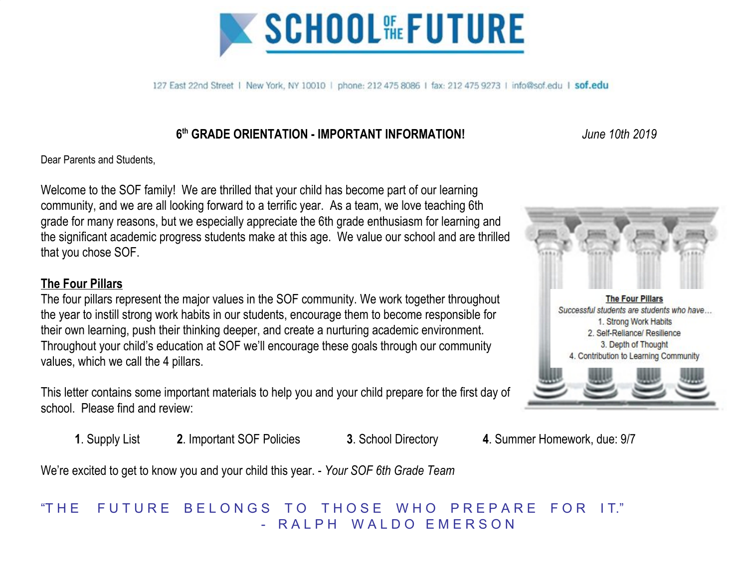

127 East 22nd Street | New York, NY 10010 | phone: 212 475 8086 | fax: 212 475 9273 | info@sof.edu | sof.edu

## **6 th GRADE ORIENTATION - IMPORTANT INFORMATION!** *June 10th 2019*

Dear Parents and Students,

Welcome to the SOF family! We are thrilled that your child has become part of our learning community, and we are all looking forward to a terrific year. As a team, we love teaching 6th grade for many reasons, but we especially appreciate the 6th grade enthusiasm for learning and the significant academic progress students make at this age. We value our school and are thrilled that you chose SOF.

### **The Four Pillars**

The four pillars represent the major values in the SOF community. We work together throughout the year to instill strong work habits in our students, encourage them to become responsible for their own learning, push their thinking deeper, and create a nurturing academic environment. Throughout your child's education at SOF we'll encourage these goals through our community values, which we call the 4 pillars.



This letter contains some important materials to help you and your child prepare for the first day of school. Please find and review:

**1**. Supply List **2**. Important SOF Policies **3**. School Directory **4**. Summer Homework, due: 9/7

We're excited to get to know you and your child this year. - *Your SOF 6th Grade Team*

## "THE FUTURE BELONGS TO THOSE WHO PREPARE FOR IT." R A L P H W A L D O F M F R S O N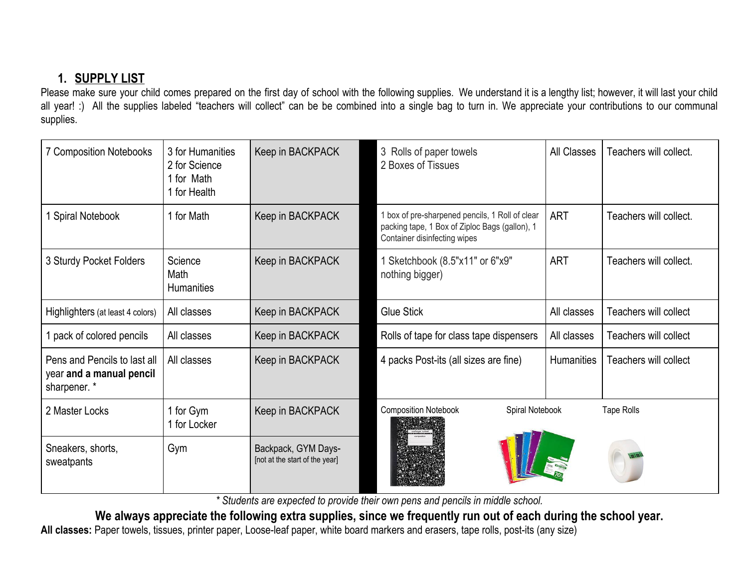## **1. SUPPLY LIST**

Please make sure your child comes prepared on the first day of school with the following supplies. We understand it is a lengthy list; however, it will last your child all year! :) All the supplies labeled "teachers will collect" can be be combined into a single bag to turn in. We appreciate your contributions to our communal supplies.

| <b>7 Composition Notebooks</b>                                           | 3 for Humanities<br>2 for Science<br>1 for Math<br>1 for Health | Keep in BACKPACK                                      | 3<br>Rolls of paper towels<br>2 Boxes of Tissues                                                                                  | <b>All Classes</b> | Teachers will collect.       |
|--------------------------------------------------------------------------|-----------------------------------------------------------------|-------------------------------------------------------|-----------------------------------------------------------------------------------------------------------------------------------|--------------------|------------------------------|
| <b>Spiral Notebook</b>                                                   | 1 for Math                                                      | Keep in BACKPACK                                      | 1 box of pre-sharpened pencils, 1 Roll of clear<br>packing tape, 1 Box of Ziploc Bags (gallon), 1<br>Container disinfecting wipes | <b>ART</b>         | Teachers will collect.       |
| 3 Sturdy Pocket Folders                                                  | Science<br>Math<br><b>Humanities</b>                            | Keep in BACKPACK                                      | 1 Sketchbook (8.5"x11" or 6"x9"<br>nothing bigger)                                                                                | <b>ART</b>         | Teachers will collect.       |
| Highlighters (at least 4 colors)                                         | All classes                                                     | Keep in BACKPACK                                      | <b>Glue Stick</b>                                                                                                                 | All classes        | Teachers will collect        |
| 1 pack of colored pencils                                                | All classes                                                     | Keep in BACKPACK                                      | Rolls of tape for class tape dispensers                                                                                           | All classes        | <b>Teachers will collect</b> |
| Pens and Pencils to last all<br>year and a manual pencil<br>sharpener. * | All classes                                                     | Keep in BACKPACK                                      | 4 packs Post-its (all sizes are fine)                                                                                             | <b>Humanities</b>  | Teachers will collect        |
| 2 Master Locks                                                           | 1 for Gym<br>1 for Locker                                       | Keep in BACKPACK                                      | <b>Composition Notebook</b><br>Spiral Notebook                                                                                    |                    | <b>Tape Rolls</b>            |
| Sneakers, shorts,<br>sweatpants                                          | Gym                                                             | Backpack, GYM Days-<br>[not at the start of the year] |                                                                                                                                   |                    |                              |

*\* Students are expected to provide their own pens and pencils in middle school.*

We always appreciate the following extra supplies, since we frequently run out of each during the school year. **All classes:** Paper towels, tissues, printer paper, Loose-leaf paper, white board markers and erasers, tape rolls, post-its (any size)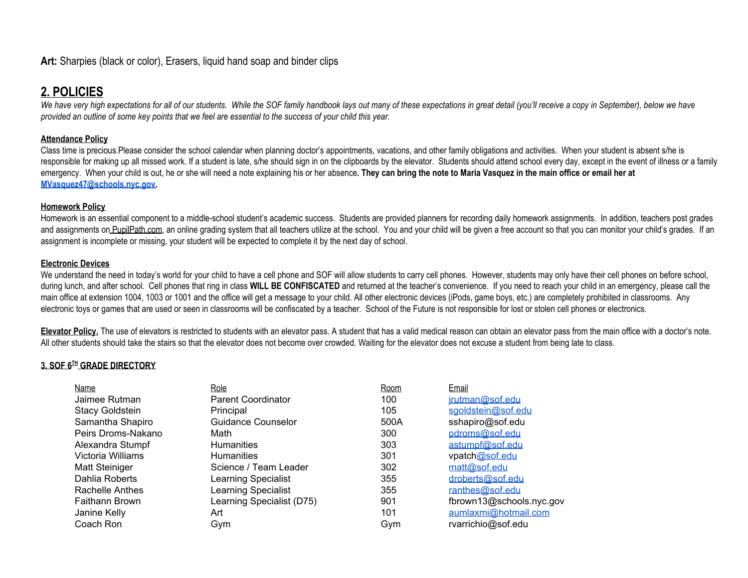## **2. POLICIES**

We have very high expectations for all of our students. While the SOF family handbook lays out many of these expectations in great detail (you'll receive a copy in September), below we have provided an outline of some key points that we feel are essential to the success of your child this year.

#### **Attendance Policy**

Class time is precious.Please consider the school calendar when planning doctor's appointments, vacations, and other family obligations and activities. When your student is absent s/he is responsible for making up all missed work. If a student is late, s/he should sign in on the clipboards by the elevator. Students should attend school every day, except in the event of illness or a family emergency. When your child is out, he or she will need a note explaining his or her absence. They can bring the note to Maria Vasquez in the main office or email her at **[MVasquez47@schools.nyc.gov.](mailto:MVasquez47@schools.nyc.gov)**

#### **Homework Policy**

Homework is an essential component to a middle-school student's academic success. Students are provided planners for recording daily homework assignments. In addition, teachers post grades and assignments on PupilPath.com, an online grading system that all teachers utilize at the school. You and your child will be given a free account so that you can monitor your child's grades. If an assignment is incomplete or missing, your student will be expected to complete it by the next day of school.

#### **Electronic Devices**

We understand the need in today's world for your child to have a cell phone and SOF will allow students to carry cell phones. However, students may only have their cell phones on before school, during lunch, and after school. Cell phones that ring in class **WILL BE CONFISCATED** and returned at the teacher's convenience. If you need to reach your child in an emergency, please call the main office at extension 1004, 1003 or 1001 and the office will get a message to your child. All other electronic devices (iPods, game boys, etc.) are completely prohibited in classrooms. Any electronic toys or games that are used or seen in classrooms will be confiscated by a teacher. School of the Future is not responsible for lost or stolen cell phones or electronics.

**Elevator Policy.** The use of elevators is restricted to students with an elevator pass. A student that has a valid medical reason can obtain an elevator pass from the main office with a doctor's note. All other students should take the stairs so that the elevator does not become over crowded. Waiting for the elevator does not excuse a student from being late to class.

#### **3. SOF 6 TH GRADE DIRECTORY**

| Name                   | Role                       | Room | Email                    |
|------------------------|----------------------------|------|--------------------------|
| Jaimee Rutman          | <b>Parent Coordinator</b>  | 100  | irutman@sof.edu          |
| <b>Stacy Goldstein</b> | Principal                  | 105  | sgoldstein@sof.edu       |
| Samantha Shapiro       | Guidance Counselor         | 500A | sshapiro@sof.edu         |
| Peirs Droms-Nakano     | Math                       | 300  | pdroms@sof.edu           |
| Alexandra Stumpf       | <b>Humanities</b>          | 303  | astumpf@sof.edu          |
| Victoria Williams      | <b>Humanities</b>          | 301  | vpatch@sof.edu           |
| Matt Steiniger         | Science / Team Leader      | 302  | matt@sof.edu             |
| Dahlia Roberts         | <b>Learning Specialist</b> | 355  | droberts@sof.edu         |
| Rachelle Anthes        | Learning Specialist        | 355  | ranthes@sof.edu          |
| Faithann Brown         | Learning Specialist (D75)  | 901  | fbrown13@schools.nyc.gov |
| Janine Kelly           | Art                        | 101  | aumlaxmi@hotmail.com     |
| Coach Ron              | Gym                        | Gym  | rvarrichio@sof.edu       |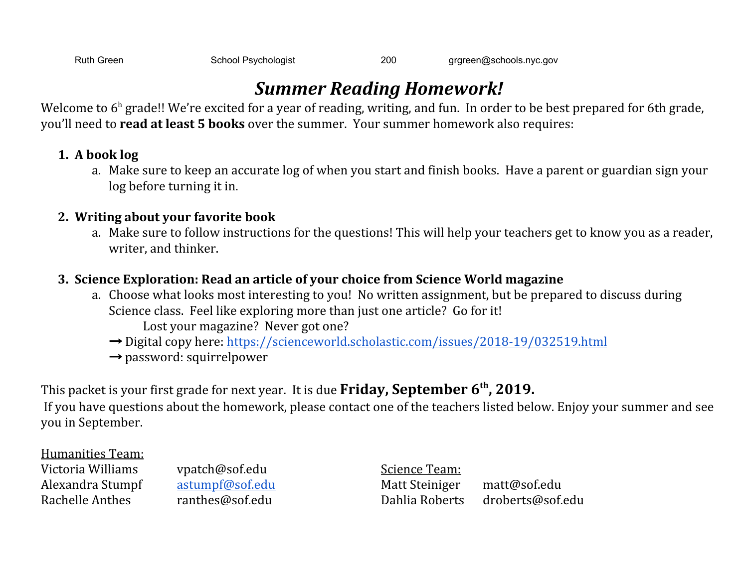Ruth Green School Psychologist 200 [grgreen@schools.nyc.gov](mailto:grgreen@schools.nyc.gov)

# *Summer Reading Homework!*

Welcome to  $6^{\text{h}}$  grade!! We're excited for a year of reading, writing, and fun. In order to be best prepared for 6th grade, you'll need to **read at least 5 books** over the summer. Your summer homework also requires:

## **1. A book log**

a. Make sure to keep an accurate log of when you start and finish books. Have a parent or guardian sign your log before turning it in.

## **2. Writing about your favorite book**

a. Make sure to follow instructions for the questions! This will help your teachers get to know you as a reader, writer, and thinker.

## **3. Science Exploration: Read an article of your choice from Science World magazine**

- a. Choose what looks most interesting to you! No written assignment, but be prepared to discuss during Science class. Feel like exploring more than just one article? Go for it! Lost your magazine? Never got one?
	- $\rightarrow$  Digital copy here: <https://scienceworld.scholastic.com/issues/2018-19/032519.html>
	- $\rightarrow$  password: squirrelpower

This packet is your first grade for next year. It is due **Friday, September 6 th , 2019.**

If you have questions about the homework, please contact one of the teachers listed below. Enjoy your summer and see you in September.

Humanities Team:

Victoria Williams vpatch@sof.edu Science Team:

Alexandra Stumpf [astumpf@sof.edu](mailto:astumpf@sof.edu) Matt Steiniger matt@sof.edu Rachelle Anthes ranthes@sof.edu Dahlia Roberts droberts@sof.edu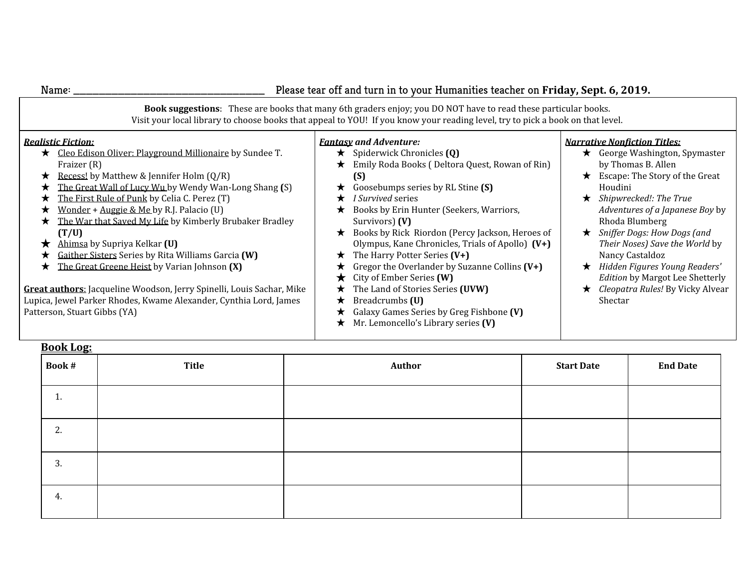| Name:                                                                                                                                                                                                                                                                                                                                                                                                                                                                                                                                                                                                                                                                                                                                            | Please tear off and turn in to your Humanities teacher on Friday, Sept. 6, 2019.                                                                                                                                                                                                                                                                                                                                                                                                                                                                                                                                                                                   |                                                                                                                                                                                                                                                                                                                                                                                                                                                                      |  |  |  |
|--------------------------------------------------------------------------------------------------------------------------------------------------------------------------------------------------------------------------------------------------------------------------------------------------------------------------------------------------------------------------------------------------------------------------------------------------------------------------------------------------------------------------------------------------------------------------------------------------------------------------------------------------------------------------------------------------------------------------------------------------|--------------------------------------------------------------------------------------------------------------------------------------------------------------------------------------------------------------------------------------------------------------------------------------------------------------------------------------------------------------------------------------------------------------------------------------------------------------------------------------------------------------------------------------------------------------------------------------------------------------------------------------------------------------------|----------------------------------------------------------------------------------------------------------------------------------------------------------------------------------------------------------------------------------------------------------------------------------------------------------------------------------------------------------------------------------------------------------------------------------------------------------------------|--|--|--|
| Book suggestions: These are books that many 6th graders enjoy; you DO NOT have to read these particular books.<br>Visit your local library to choose books that appeal to YOU! If you know your reading level, try to pick a book on that level.                                                                                                                                                                                                                                                                                                                                                                                                                                                                                                 |                                                                                                                                                                                                                                                                                                                                                                                                                                                                                                                                                                                                                                                                    |                                                                                                                                                                                                                                                                                                                                                                                                                                                                      |  |  |  |
| <b>Realistic Fiction:</b><br>★ Cleo Edison Oliver: Playground Millionaire by Sundee T.<br>Fraizer (R)<br>Recess! by Matthew & Jennifer Holm $(Q/R)$<br>$\star$<br>The Great Wall of Lucy Wu by Wendy Wan-Long Shang (S)<br>★<br>The First Rule of Punk by Celia C. Perez (T)<br>★<br>Wonder + Auggie & Me by R.J. Palacio (U)<br>The War that Saved My Life by Kimberly Brubaker Bradley<br>$\star$<br>(T/U)<br>Ahimsa by Supriya Kelkar (U)<br>★<br>Gaither Sisters Series by Rita Williams Garcia (W)<br>The Great Greene Heist by Varian Johnson (X)<br>$\star$<br>Great authors: Jacqueline Woodson, Jerry Spinelli, Louis Sachar, Mike<br>Lupica, Jewel Parker Rhodes, Kwame Alexander, Cynthia Lord, James<br>Patterson, Stuart Gibbs (YA) | <b>Fantasy and Adventure:</b><br>Spiderwick Chronicles (Q)<br>$\star$<br>Emily Roda Books (Deltora Quest, Rowan of Rin)<br>$\star$<br>(S)<br>Goosebumps series by RL Stine (S)<br>★<br><i>I Survived</i> series<br>Books by Erin Hunter (Seekers, Warriors,<br>★<br>Survivors) (V)<br>Books by Rick Riordon (Percy Jackson, Heroes of<br>$\star$<br>Olympus, Kane Chronicles, Trials of Apollo) (V+)<br>The Harry Potter Series (V+)<br>Gregor the Overlander by Suzanne Collins $(V+)$<br>City of Ember Series (W)<br>The Land of Stories Series (UVW)<br>Breadcrumbs (U)<br>Galaxy Games Series by Greg Fishbone (V)<br>★<br>Mr. Lemoncello's Library series (V) | <b>Narrative Nonfiction Titles:</b><br>George Washington, Spymaster<br>$\star$<br>by Thomas B. Allen<br>Escape: The Story of the Great<br>Houdini<br>Shipwrecked!: The True<br>$\star$<br>Adventures of a Japanese Boy by<br>Rhoda Blumberg<br>Sniffer Dogs: How Dogs (and<br>$\star$<br>Their Noses) Save the World by<br>Nancy Castaldoz<br>Hidden Figures Young Readers'<br><b>Edition by Margot Lee Shetterly</b><br>Cleopatra Rules! By Vicky Alvear<br>Shectar |  |  |  |

| <b>Book Log:</b> |       |        |                   |                 |  |
|------------------|-------|--------|-------------------|-----------------|--|
| Book #           | Title | Author | <b>Start Date</b> | <b>End Date</b> |  |
| 1.               |       |        |                   |                 |  |
| 2.               |       |        |                   |                 |  |
| 3.               |       |        |                   |                 |  |
| 4.               |       |        |                   |                 |  |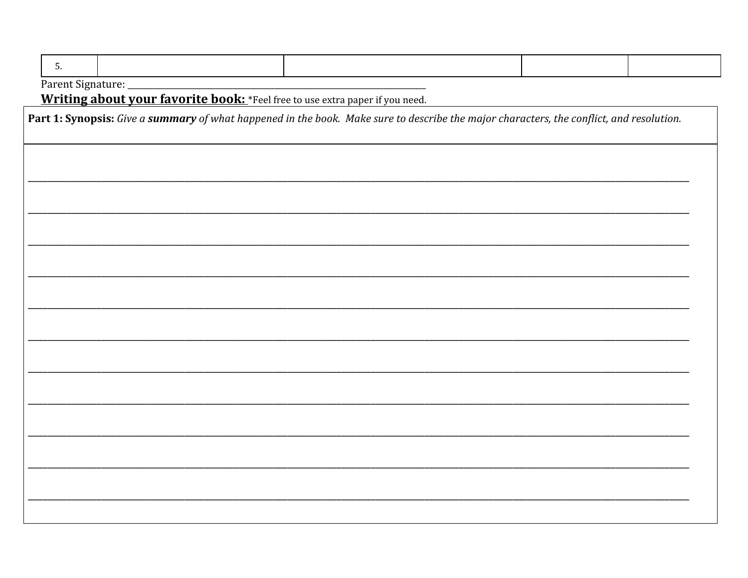| Part 1: Synopsis: Give a summary of what happened in the book. Make sure to describe the major characters, the conflict, and resolution. |  |  |  |  |
|------------------------------------------------------------------------------------------------------------------------------------------|--|--|--|--|
|                                                                                                                                          |  |  |  |  |
|                                                                                                                                          |  |  |  |  |
|                                                                                                                                          |  |  |  |  |
|                                                                                                                                          |  |  |  |  |
|                                                                                                                                          |  |  |  |  |
|                                                                                                                                          |  |  |  |  |
|                                                                                                                                          |  |  |  |  |
|                                                                                                                                          |  |  |  |  |
|                                                                                                                                          |  |  |  |  |
|                                                                                                                                          |  |  |  |  |
|                                                                                                                                          |  |  |  |  |
|                                                                                                                                          |  |  |  |  |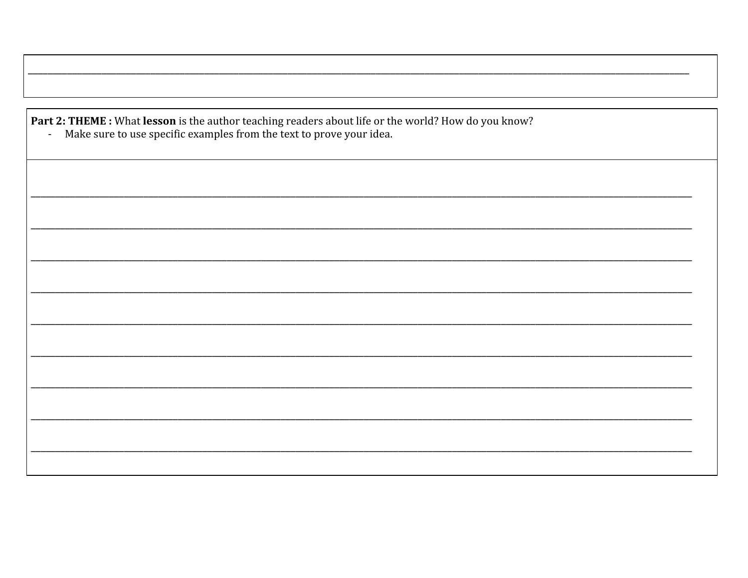**Part 2: THEME :** What **lesson** is the author teaching readers about life or the world? How do you know?<br>- Make sure to use specific examples from the text to prove your idea.